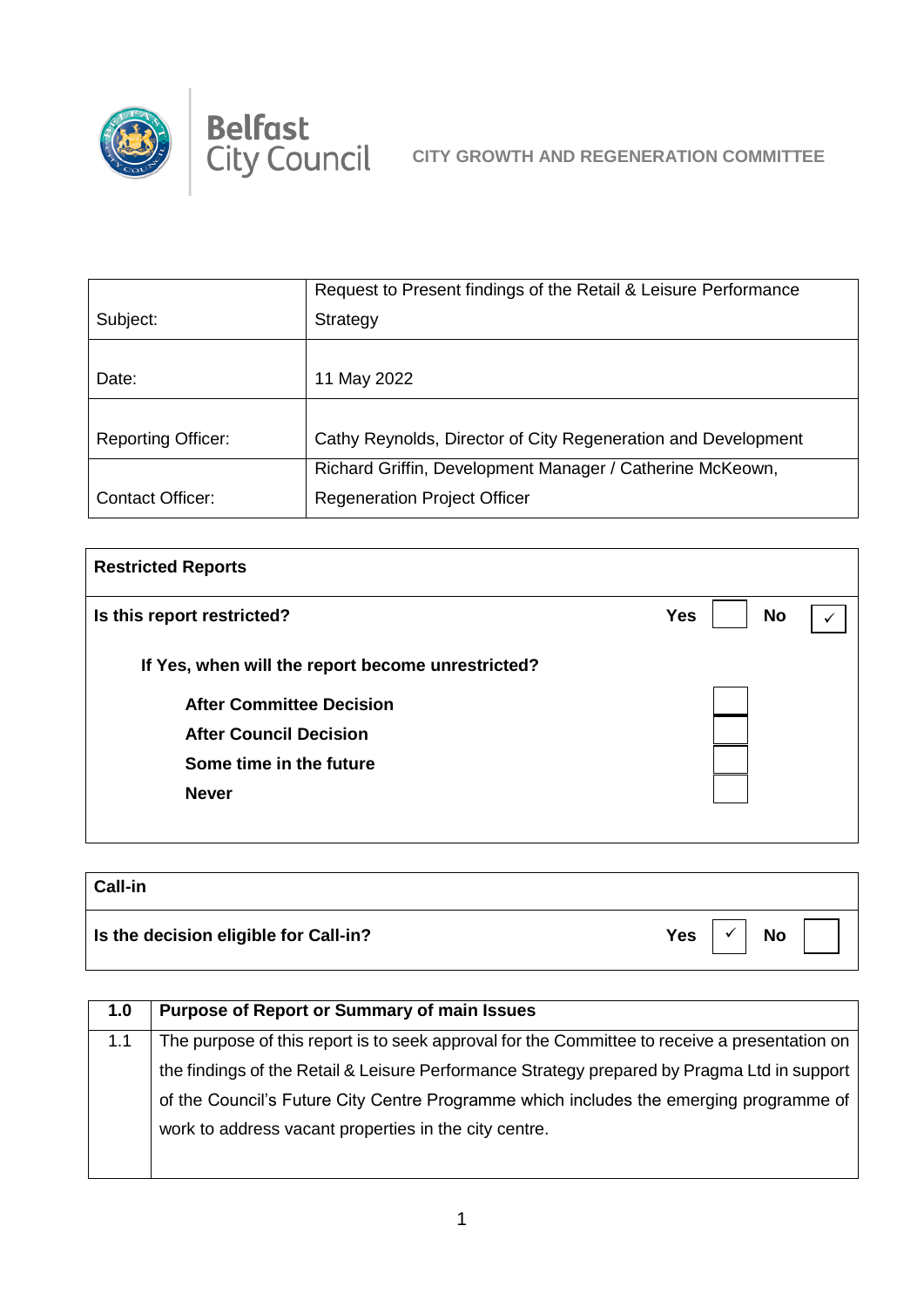

|                           | Request to Present findings of the Retail & Leisure Performance |
|---------------------------|-----------------------------------------------------------------|
| Subject:                  | Strategy                                                        |
|                           |                                                                 |
| Date:                     | 11 May 2022                                                     |
|                           |                                                                 |
| <b>Reporting Officer:</b> | Cathy Reynolds, Director of City Regeneration and Development   |
|                           | Richard Griffin, Development Manager / Catherine McKeown,       |
| <b>Contact Officer:</b>   | <b>Regeneration Project Officer</b>                             |

| <b>Restricted Reports</b>                         |                         |  |
|---------------------------------------------------|-------------------------|--|
| Is this report restricted?                        | <b>No</b><br><b>Yes</b> |  |
| If Yes, when will the report become unrestricted? |                         |  |
| <b>After Committee Decision</b>                   |                         |  |
| <b>After Council Decision</b>                     |                         |  |
| Some time in the future                           |                         |  |
| <b>Never</b>                                      |                         |  |
|                                                   |                         |  |

| <b>Call-in</b>                        |     |           |  |
|---------------------------------------|-----|-----------|--|
| Is the decision eligible for Call-in? | Yes | <b>No</b> |  |

| 1.0 | <b>Purpose of Report or Summary of main Issues</b>                                            |
|-----|-----------------------------------------------------------------------------------------------|
| 1.1 | The purpose of this report is to seek approval for the Committee to receive a presentation on |
|     | the findings of the Retail & Leisure Performance Strategy prepared by Pragma Ltd in support   |
|     | of the Council's Future City Centre Programme which includes the emerging programme of        |
|     | work to address vacant properties in the city centre.                                         |
|     |                                                                                               |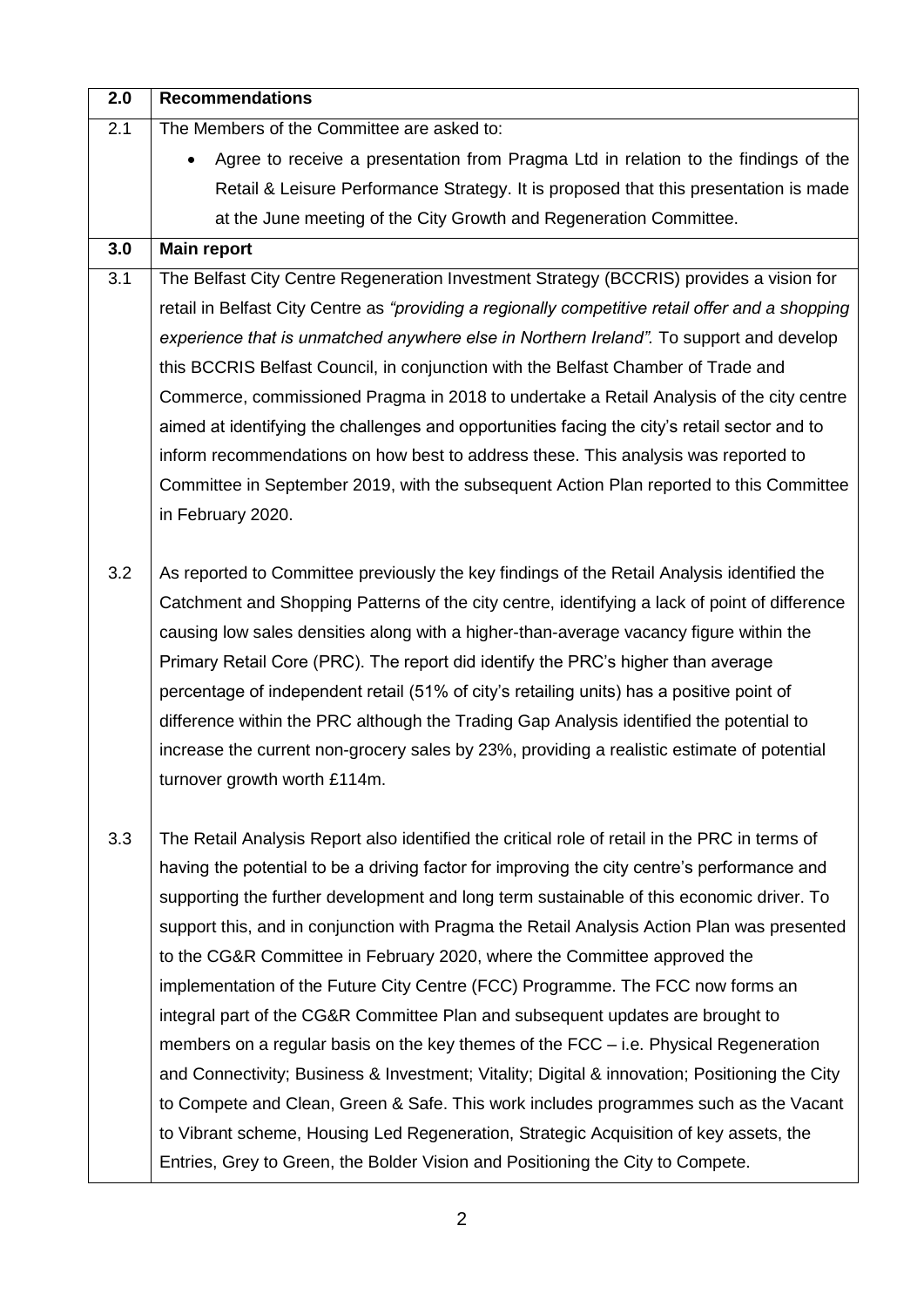| 2.0 | <b>Recommendations</b>                                                                                                                                                                  |
|-----|-----------------------------------------------------------------------------------------------------------------------------------------------------------------------------------------|
| 2.1 | The Members of the Committee are asked to:                                                                                                                                              |
|     | Agree to receive a presentation from Pragma Ltd in relation to the findings of the                                                                                                      |
|     | Retail & Leisure Performance Strategy. It is proposed that this presentation is made                                                                                                    |
|     | at the June meeting of the City Growth and Regeneration Committee.                                                                                                                      |
| 3.0 | <b>Main report</b>                                                                                                                                                                      |
| 3.1 | The Belfast City Centre Regeneration Investment Strategy (BCCRIS) provides a vision for                                                                                                 |
|     | retail in Belfast City Centre as "providing a regionally competitive retail offer and a shopping                                                                                        |
|     | experience that is unmatched anywhere else in Northern Ireland". To support and develop                                                                                                 |
|     | this BCCRIS Belfast Council, in conjunction with the Belfast Chamber of Trade and                                                                                                       |
|     | Commerce, commissioned Pragma in 2018 to undertake a Retail Analysis of the city centre                                                                                                 |
|     | aimed at identifying the challenges and opportunities facing the city's retail sector and to                                                                                            |
|     | inform recommendations on how best to address these. This analysis was reported to                                                                                                      |
|     | Committee in September 2019, with the subsequent Action Plan reported to this Committee                                                                                                 |
|     | in February 2020.                                                                                                                                                                       |
|     |                                                                                                                                                                                         |
| 3.2 | As reported to Committee previously the key findings of the Retail Analysis identified the                                                                                              |
|     | Catchment and Shopping Patterns of the city centre, identifying a lack of point of difference                                                                                           |
|     | causing low sales densities along with a higher-than-average vacancy figure within the                                                                                                  |
|     | Primary Retail Core (PRC). The report did identify the PRC's higher than average                                                                                                        |
|     | percentage of independent retail (51% of city's retailing units) has a positive point of                                                                                                |
|     | difference within the PRC although the Trading Gap Analysis identified the potential to                                                                                                 |
|     | increase the current non-grocery sales by 23%, providing a realistic estimate of potential                                                                                              |
|     | turnover growth worth £114m.                                                                                                                                                            |
|     |                                                                                                                                                                                         |
| 3.3 | The Retail Analysis Report also identified the critical role of retail in the PRC in terms of                                                                                           |
|     | having the potential to be a driving factor for improving the city centre's performance and<br>supporting the further development and long term sustainable of this economic driver. To |
|     | support this, and in conjunction with Pragma the Retail Analysis Action Plan was presented                                                                                              |
|     | to the CG&R Committee in February 2020, where the Committee approved the                                                                                                                |
|     | implementation of the Future City Centre (FCC) Programme. The FCC now forms an                                                                                                          |
|     | integral part of the CG&R Committee Plan and subsequent updates are brought to                                                                                                          |
|     | members on a regular basis on the key themes of the FCC - i.e. Physical Regeneration                                                                                                    |
|     | and Connectivity; Business & Investment; Vitality; Digital & innovation; Positioning the City                                                                                           |
|     | to Compete and Clean, Green & Safe. This work includes programmes such as the Vacant                                                                                                    |
|     | to Vibrant scheme, Housing Led Regeneration, Strategic Acquisition of key assets, the                                                                                                   |
|     | Entries, Grey to Green, the Bolder Vision and Positioning the City to Compete.                                                                                                          |
|     |                                                                                                                                                                                         |